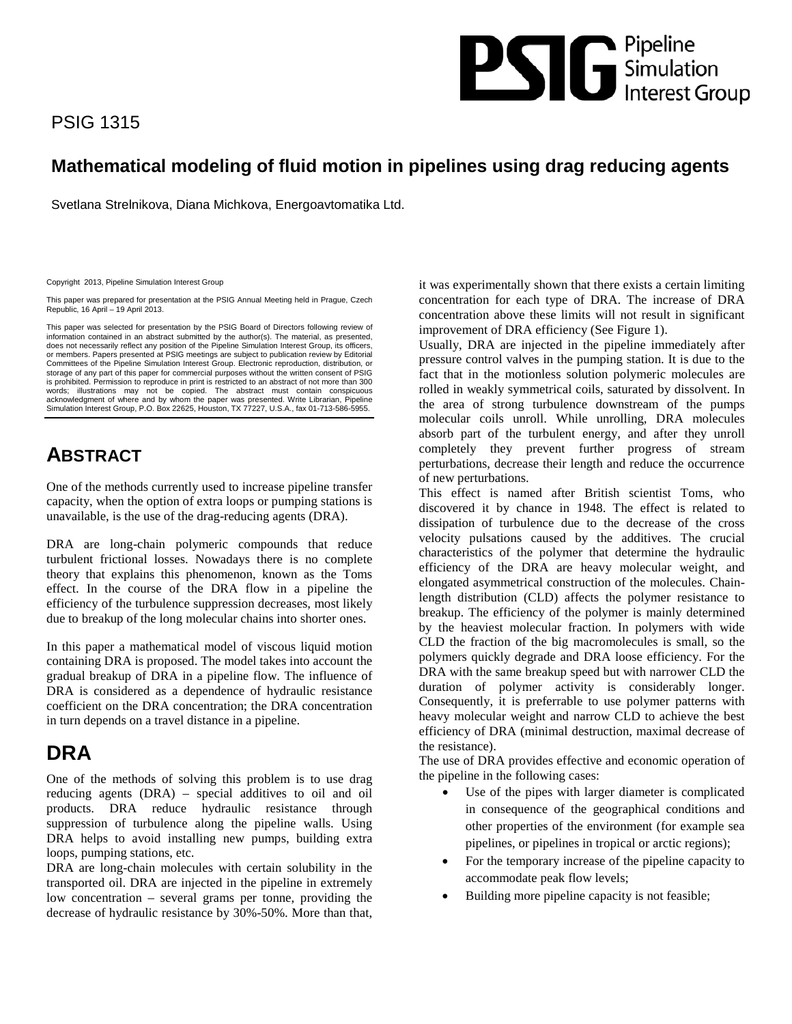# **PSS** G Simulation

# PSIG 1315

# **Mathematical modeling of fluid motion in pipelines using drag reducing agents**

Svetlana Strelnikova, Diana Michkova, Energoavtomatika Ltd.

Copyright 2013, Pipeline Simulation Interest Group

This paper was prepared for presentation at the PSIG Annual Meeting held in Prague, Czech Republic, 16 April – 19 April 2013.

This paper was selected for presentation by the PSIG Board of Directors following review of information contained in an abstract submitted by the author(s). The material, as presented,<br>does not necessarily reflect any position of the Pipeline Simulation Interest Group, its officers, or members. Papers presented at PSIG meetings are subject to publication review by Editorial Committees of the Pipeline Simulation Interest Group. Electronic reproduction, distribution, or storage of any part of this paper for commercial purposes without the written consent of PSIG is prohibited. Permission to reproduce in print is restricted to an abstract of not more than 300 words; illustrations may not be copied. The abstract must contain conspicuous acknowledgment of where and by whom the paper was presented. Write Librarian, Pipeline Simulation Interest Group, P.O. Box 22625, Houston, TX 77227, U.S.A., fax 01-713-586-5955.

# **ABSTRACT**

One of the methods currently used to increase pipeline transfer capacity, when the option of extra loops or pumping stations is unavailable, is the use of the drag-reducing agents (DRA).

DRA are long-chain polymeric compounds that reduce turbulent frictional losses. Nowadays there is no complete theory that explains this phenomenon, known as the Toms effect. In the course of the DRA flow in a pipeline the efficiency of the turbulence suppression decreases, most likely due to breakup of the long molecular chains into shorter ones.

In this paper a mathematical model of viscous liquid motion containing DRA is proposed. The model takes into account the gradual breakup of DRA in a pipeline flow. The influence of DRA is considered as a dependence of hydraulic resistance coefficient on the DRA concentration; the DRA concentration in turn depends on a travel distance in a pipeline.

# **DRA**

One of the methods of solving this problem is to use drag reducing agents (DRA) – special additives to oil and oil products. DRA reduce hydraulic resistance through suppression of turbulence along the pipeline walls. Using DRA helps to avoid installing new pumps, building extra loops, pumping stations, etc.

DRA are long-chain molecules with certain solubility in the transported oil. DRA are injected in the pipeline in extremely low concentration – several grams per tonne, providing the decrease of hydraulic resistance by 30%-50%. More than that, it was experimentally shown that there exists a certain limiting concentration for each type of DRA. The increase of DRA concentration above these limits will not result in significant improvement of DRA efficiency (See Figure 1).

Usually, DRA are injected in the pipeline immediately after pressure control valves in the pumping station. It is due to the fact that in the motionless solution polymeric molecules are rolled in weakly symmetrical coils, saturated by dissolvent. In the area of strong turbulence downstream of the pumps molecular coils unroll. While unrolling, DRA molecules absorb part of the turbulent energy, and after they unroll completely they prevent further progress of stream perturbations, decrease their length and reduce the occurrence of new perturbations.

This effect is named after British scientist Toms, who discovered it by chance in 1948. The effect is related to dissipation of turbulence due to the decrease of the cross velocity pulsations caused by the additives. The crucial characteristics of the polymer that determine the hydraulic efficiency of the DRA are heavy molecular weight, and elongated asymmetrical construction of the molecules. Chainlength distribution (CLD) affects the polymer resistance to breakup. The efficiency of the polymer is mainly determined by the heaviest molecular fraction. In polymers with wide CLD the fraction of the big macromolecules is small, so the polymers quickly degrade and DRA loose efficiency. For the DRA with the same breakup speed but with narrower CLD the duration of polymer activity is considerably longer. Consequently, it is preferrable to use polymer patterns with heavy molecular weight and narrow CLD to achieve the best efficiency of DRA (minimal destruction, maximal decrease of the resistance).

The use of DRA provides effective and economic operation of the pipeline in the following cases:

- Use of the pipes with larger diameter is complicated in consequence of the geographical conditions and other properties of the environment (for example sea pipelines, or pipelines in tropical or arctic regions);
- For the temporary increase of the pipeline capacity to accommodate peak flow levels;
- Building more pipeline capacity is not feasible;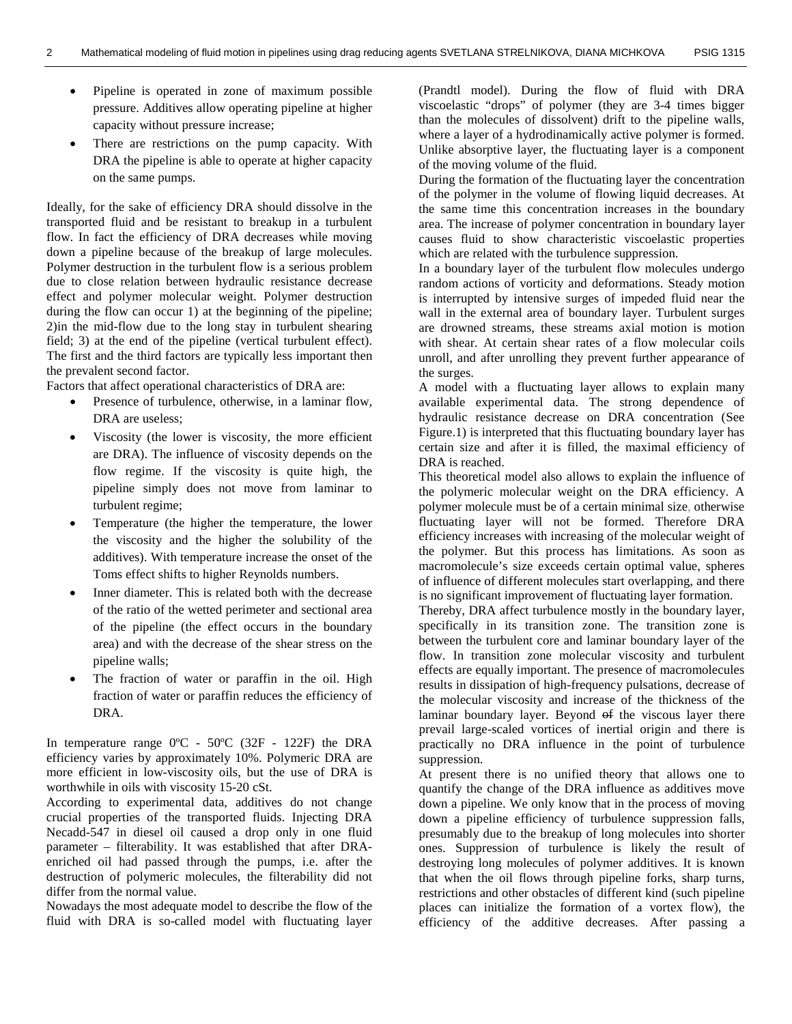- Pipeline is operated in zone of maximum possible pressure. Additives allow operating pipeline at higher capacity without pressure increase;
- There are restrictions on the pump capacity. With DRA the pipeline is able to operate at higher capacity on the same pumps.

Ideally, for the sake of efficiency DRA should dissolve in the transported fluid and be resistant to breakup in a turbulent flow. In fact the efficiency of DRA decreases while moving down a pipeline because of the breakup of large molecules. Polymer destruction in the turbulent flow is a serious problem due to close relation between hydraulic resistance decrease effect and polymer molecular weight. Polymer destruction during the flow can occur 1) at the beginning of the pipeline; 2)in the mid-flow due to the long stay in turbulent shearing field; 3) at the end of the pipeline (vertical turbulent effect). The first and the third factors are typically less important then the prevalent second factor.

Factors that affect operational characteristics of DRA are:

- Presence of turbulence, otherwise, in a laminar flow, DRA are useless;
- Viscosity (the lower is viscosity, the more efficient are DRA). The influence of viscosity depends on the flow regime. If the viscosity is quite high, the pipeline simply does not move from laminar to turbulent regime;
- Temperature (the higher the temperature, the lower the viscosity and the higher the solubility of the additives). With temperature increase the onset of the Toms effect shifts to higher Reynolds numbers.
- Inner diameter. This is related both with the decrease of the ratio of the wetted perimeter and sectional area of the pipeline (the effect occurs in the boundary area) and with the decrease of the shear stress on the pipeline walls;
- The fraction of water or paraffin in the oil. High fraction of water or paraffin reduces the efficiency of DRA.

In temperature range 0ºC - 50ºC (32F - 122F) the DRA efficiency varies by approximately 10%. Polymeric DRA are more efficient in low-viscosity oils, but the use of DRA is worthwhile in oils with viscosity 15-20 cSt.

According to experimental data, additives do not change crucial properties of the transported fluids. Injecting DRA Necadd-547 in diesel oil caused a drop only in one fluid parameter – filterability. It was established that after DRAenriched oil had passed through the pumps, i.e. after the destruction of polymeric molecules, the filterability did not differ from the normal value.

Nowadays the most adequate model to describe the flow of the fluid with DRA is so-called model with fluctuating layer (Prandtl model). During the flow of fluid with DRA viscoelastic "drops" of polymer (they are 3-4 times bigger than the molecules of dissolvent) drift to the pipeline walls, where a layer of a hydrodinamically active polymer is formed. Unlike absorptive layer, the fluctuating layer is a component of the moving volume of the fluid.

During the formation of the fluctuating layer the concentration of the polymer in the volume of flowing liquid decreases. At the same time this concentration increases in the boundary area. The increase of polymer concentration in boundary layer causes fluid to show characteristic viscoelastic properties which are related with the turbulence suppression.

In a boundary layer of the turbulent flow molecules undergo random actions of vorticity and deformations. Steady motion is interrupted by intensive surges of impeded fluid near the wall in the external area of boundary layer. Turbulent surges are drowned streams, these streams axial motion is motion with shear. At certain shear rates of a flow molecular coils unroll, and after unrolling they prevent further appearance of the surges.

A model with a fluctuating layer allows to explain many available experimental data. The strong dependence of hydraulic resistance decrease on DRA concentration (See Figure.1) is interpreted that this fluctuating boundary layer has certain size and after it is filled, the maximal efficiency of DRA is reached.

This theoretical model also allows to explain the influence of the polymeric molecular weight on the DRA efficiency. A polymer molecule must be of a certain minimal size, otherwise fluctuating layer will not be formed. Therefore DRA efficiency increases with increasing of the molecular weight of the polymer. But this process has limitations. As soon as macromolecule's size exceeds certain optimal value, spheres of influence of different molecules start overlapping, and there is no significant improvement of fluctuating layer formation.

Thereby, DRA affect turbulence mostly in the boundary layer, specifically in its transition zone. The transition zone is between the turbulent core and laminar boundary layer of the flow. In transition zone molecular viscosity and turbulent effects are equally important. The presence of macromolecules results in dissipation of high-frequency pulsations, decrease of the molecular viscosity and increase of the thickness of the laminar boundary layer. Beyond of the viscous layer there prevail large-scaled vortices of inertial origin and there is practically no DRA influence in the point of turbulence suppression.

At present there is no unified theory that allows one to quantify the change of the DRA influence as additives move down a pipeline. We only know that in the process of moving down a pipeline efficiency of turbulence suppression falls, presumably due to the breakup of long molecules into shorter ones. Suppression of turbulence is likely the result of destroying long molecules of polymer additives. It is known that when the oil flows through pipeline forks, sharp turns, restrictions and other obstacles of different kind (such pipeline places can initialize the formation of a vortex flow), the efficiency of the additive decreases. After passing a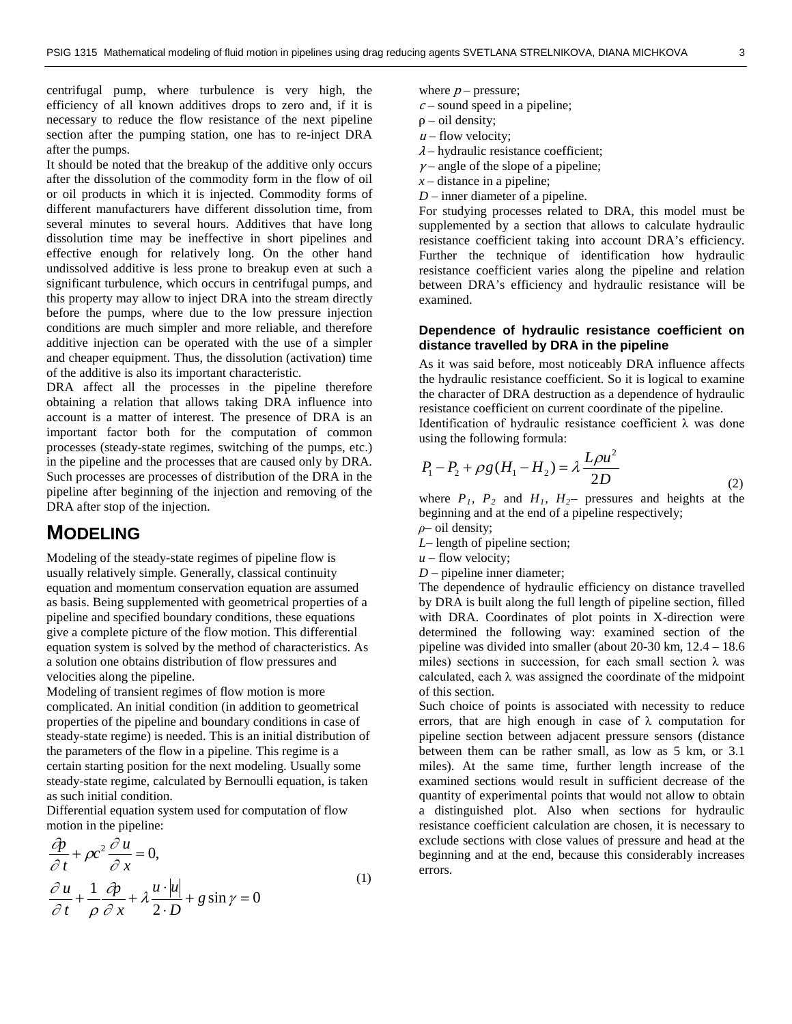centrifugal pump, where turbulence is very high, the efficiency of all known additives drops to zero and, if it is necessary to reduce the flow resistance of the next pipeline section after the pumping station, one has to re-inject DRA after the pumps.

It should be noted that the breakup of the additive only occurs after the dissolution of the commodity form in the flow of oil or oil products in which it is injected. Commodity forms of different manufacturers have different dissolution time, from several minutes to several hours. Additives that have long dissolution time may be ineffective in short pipelines and effective enough for relatively long. On the other hand undissolved additive is less prone to breakup even at such a significant turbulence, which occurs in centrifugal pumps, and this property may allow to inject DRA into the stream directly before the pumps, where due to the low pressure injection conditions are much simpler and more reliable, and therefore additive injection can be operated with the use of a simpler and cheaper equipment. Thus, the dissolution (activation) time of the additive is also its important characteristic.

DRA affect all the processes in the pipeline therefore obtaining a relation that allows taking DRA influence into account is a matter of interest. The presence of DRA is an important factor both for the computation of common processes (steady-state regimes, switching of the pumps, etc.) in the pipeline and the processes that are caused only by DRA. Such processes are processes of distribution of the DRA in the pipeline after beginning of the injection and removing of the DRA after stop of the injection.

## **MODELING**

Modeling of the steady-state regimes of pipeline flow is usually relatively simple. Generally, classical continuity equation and momentum conservation equation are assumed as basis. Being supplemented with geometrical properties of a pipeline and specified boundary conditions, these equations give a complete picture of the flow motion. This differential equation system is solved by the method of characteristics. As a solution one obtains distribution of flow pressures and velocities along the pipeline.

Modeling of transient regimes of flow motion is more complicated. An initial condition (in addition to geometrical properties of the pipeline and boundary conditions in case of steady-state regime) is needed. This is an initial distribution of the parameters of the flow in a pipeline. This regime is a certain starting position for the next modeling. Usually some steady-state regime, calculated by Bernoulli equation, is taken as such initial condition.

Differential equation system used for computation of flow motion in the pipeline:

$$
\frac{\partial p}{\partial t} + \rho c^2 \frac{\partial u}{\partial x} = 0,
$$
\n
$$
\frac{\partial u}{\partial t} + \frac{1}{\rho} \frac{\partial p}{\partial x} + \lambda \frac{u \cdot |u|}{2 \cdot D} + g \sin \gamma = 0
$$
\n(1)

- where  $p$  pressure;
- $c$  sound speed in a pipeline;
- $\rho$  oil density;
- $u$  flow velocity;
- $\lambda$  hydraulic resistance coefficient;
- $\gamma$  angle of the slope of a pipeline;
- *x* distance in a pipeline;
- *D* inner diameter of a pipeline.

For studying processes related to DRA, this model must be supplemented by a section that allows to calculate hydraulic resistance coefficient taking into account DRA's efficiency. Further the technique of identification how hydraulic resistance coefficient varies along the pipeline and relation between DRA's efficiency and hydraulic resistance will be examined.

#### **Dependence of hydraulic resistance coefficient on distance travelled by DRA in the pipeline**

As it was said before, most noticeably DRA influence affects the hydraulic resistance coefficient. So it is logical to examine the character of DRA destruction as a dependence of hydraulic resistance coefficient on current coordinate of the pipeline.

Identification of hydraulic resistance coefficient λ was done using the following formula:

$$
P_1 - P_2 + \rho g (H_1 - H_2) = \lambda \frac{L \rho u^2}{2D}
$$
 (2)

where  $P_1$ ,  $P_2$  and  $H_1$ ,  $H_2$  pressures and heights at the beginning and at the end of a pipeline respectively;

*ρ*– oil density;

- *L* length of pipeline section;
- $u$  flow velocity;
- *D*  pipeline inner diameter;

The dependence of hydraulic efficiency on distance travelled by DRA is built along the full length of pipeline section, filled with DRA. Coordinates of plot points in X-direction were determined the following way: examined section of the pipeline was divided into smaller (about 20-30 km, 12.4 – 18.6 miles) sections in succession, for each small section  $\lambda$  was calculated, each  $\lambda$  was assigned the coordinate of the midpoint of this section.

Such choice of points is associated with necessity to reduce errors, that are high enough in case of  $\lambda$  computation for pipeline section between adjacent pressure sensors (distance between them can be rather small, as low as 5 km, or 3.1 miles). At the same time, further length increase of the examined sections would result in sufficient decrease of the quantity of experimental points that would not allow to obtain a distinguished plot. Also when sections for hydraulic resistance coefficient calculation are chosen, it is necessary to exclude sections with close values of pressure and head at the beginning and at the end, because this considerably increases errors.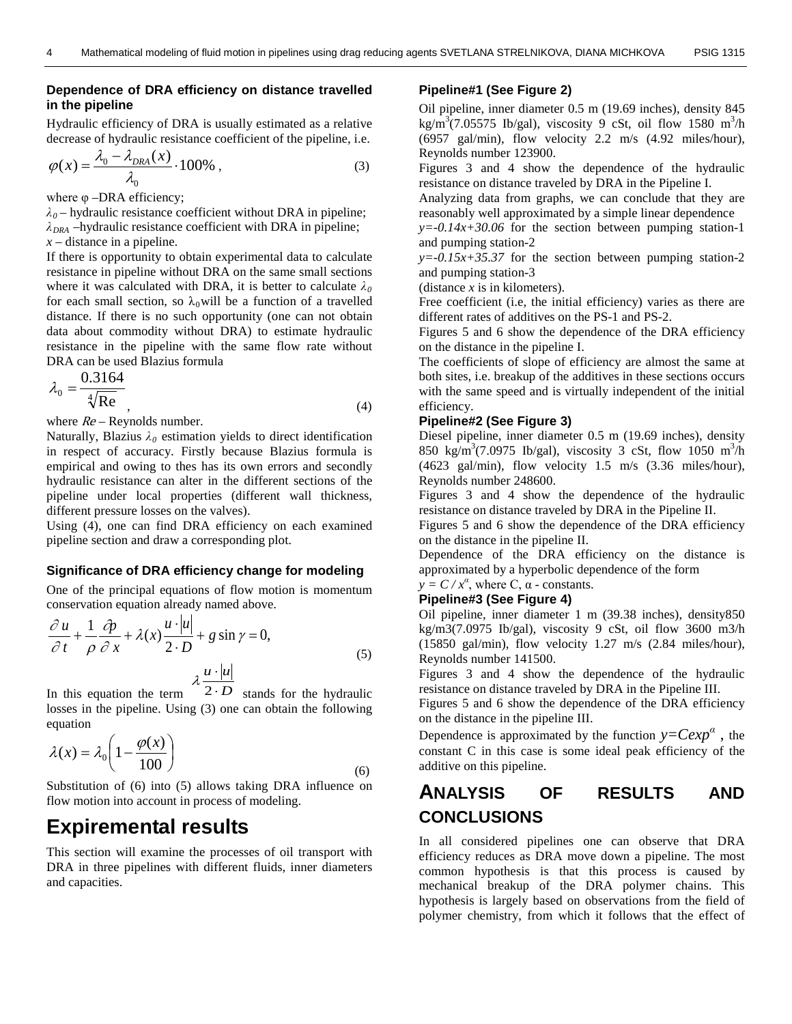#### **Dependence of DRA efficiency on distance travelled in the pipeline**

Hydraulic efficiency of DRA is usually estimated as a relative decrease of hydraulic resistance coefficient of the pipeline, i.e.

$$
\varphi(x) = \frac{\lambda_0 - \lambda_{DRA}(x)}{\lambda_0} \cdot 100\%,\tag{3}
$$

where  $\varphi$  –DRA efficiency;

*λ0* – hydraulic resistance coefficient without DRA in pipeline;  $\lambda_{DRA}$  –hydraulic resistance coefficient with DRA in pipeline; *x* – distance in a pipeline.

If there is opportunity to obtain experimental data to calculate resistance in pipeline without DRA on the same small sections where it was calculated with DRA, it is better to calculate  $\lambda_0$ for each small section, so  $\lambda_0$  will be a function of a travelled distance. If there is no such opportunity (one can not obtain data about commodity without DRA) to estimate hydraulic resistance in the pipeline with the same flow rate without DRA can be used Blazius formula

$$
\lambda_0 = \frac{0.3164}{\sqrt[4]{\text{Re}}},\tag{4}
$$

where  $Re$  – Reynolds number.

Naturally, Blazius  $\lambda_0$  estimation yields to direct identification in respect of accuracy. Firstly because Blazius formula is empirical and owing to thes has its own errors and secondly hydraulic resistance can alter in the different sections of the pipeline under local properties (different wall thickness, different pressure losses on the valves).

Using (4), one can find DRA efficiency on each examined pipeline section and draw a corresponding plot.

#### **Significance of DRA efficiency change for modeling**

One of the principal equations of flow motion is momentum conservation equation already named above.

$$
\frac{\partial u}{\partial t} + \frac{1}{\rho} \frac{\partial p}{\partial x} + \lambda(x) \frac{u \cdot |u|}{2 \cdot D} + g \sin \gamma = 0,
$$
\n
$$
\lambda \frac{u \cdot |u|}{2}
$$
\n(5)

In this equation the term  $2 \cdot D$  stands for the hydraulic losses in the pipeline. Using (3) one can obtain the following equation

$$
\lambda(x) = \lambda_0 \left( 1 - \frac{\varphi(x)}{100} \right)
$$
\n(6)

Substitution of (6) into (5) allows taking DRA influence on flow motion into account in process of modeling.

## **Expiremental results**

This section will examine the processes of oil transport with DRA in three pipelines with different fluids, inner diameters and capacities.

#### **Pipeline#1 (See Figure 2)**

Oil pipeline, inner diameter 0.5 m (19.69 inches), density 845 kg/m<sup>3</sup>(7.05575 Ib/gal), viscosity 9 cSt, oil flow 1580 m<sup>3</sup>/h (6957 gal/min), flow velocity 2.2 m/s (4.92 miles/hour), Reynolds number 123900.

Figures 3 and 4 show the dependence of the hydraulic resistance on distance traveled by DRA in the Pipeline I.

Analyzing data from graphs, we can conclude that they are reasonably well approximated by a simple linear dependence

 $y = -0.14x + 30.06$  for the section between pumping station-1 and pumping station-2

 $y=-0.15x+35.37$  for the section between pumping station-2 and pumping station-3

(distance *x* is in kilometers).

Free coefficient (i.e, the initial efficiency) varies as there are different rates of additives on the PS-1 and PS-2.

Figures 5 and 6 show the dependence of the DRA efficiency on the distance in the pipeline I.

The coefficients of slope of efficiency are almost the same at both sites, i.e. breakup of the additives in these sections occurs with the same speed and is virtually independent of the initial efficiency.

#### **Pipeline#2 (See Figure 3)**

Diesel pipeline, inner diameter 0.5 m (19.69 inches), density 850 kg/m<sup>3</sup>(7.0975 Ib/gal), viscosity 3 cSt, flow 1050 m<sup>3</sup>/h (4623 gal/min), flow velocity 1.5 m/s (3.36 miles/hour), Reynolds number 248600.

Figures 3 and 4 show the dependence of the hydraulic resistance on distance traveled by DRA in the Pipeline II.

Figures 5 and 6 show the dependence of the DRA efficiency on the distance in the pipeline II.

Dependence of the DRA efficiency on the distance is approximated by a hyperbolic dependence of the form

## $y = C / x^{\alpha}$ , where C,  $\alpha$  - constants.

### **Pipeline#3 (See Figure 4)**

Oil pipeline, inner diameter 1 m (39.38 inches), density850 kg/m3(7.0975 Ib/gal), viscosity 9 cSt, oil flow 3600 m3/h (15850 gal/min), flow velocity 1.27 m/s (2.84 miles/hour), Reynolds number 141500.

Figures 3 and 4 show the dependence of the hydraulic resistance on distance traveled by DRA in the Pipeline III.

Figures 5 and 6 show the dependence of the DRA efficiency on the distance in the pipeline III.

Dependence is approximated by the function  $y=Cexp^{\alpha}$ , the constant C in this case is some ideal peak efficiency of the additive on this pipeline.

## **ANALYSIS OF RESULTS AND CONCLUSIONS**

In all considered pipelines one can observe that DRA efficiency reduces as DRA move down a pipeline. The most common hypothesis is that this process is caused by mechanical breakup of the DRA polymer chains. This hypothesis is largely based on observations from the field of polymer chemistry, from which it follows that the effect of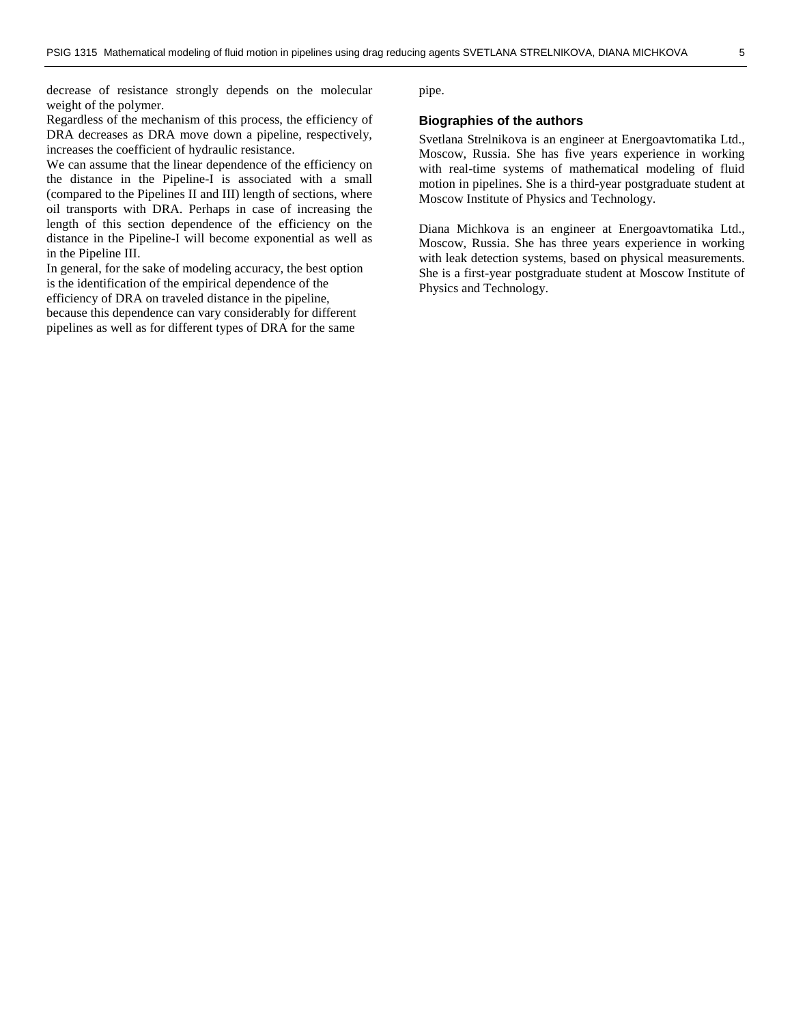decrease of resistance strongly depends on the molecular weight of the polymer.

Regardless of the mechanism of this process, the efficiency of DRA decreases as DRA move down a pipeline, respectively, increases the coefficient of hydraulic resistance.

We can assume that the linear dependence of the efficiency on the distance in the Pipeline-I is associated with a small (compared to the Pipelines II and III) length of sections, where oil transports with DRA. Perhaps in case of increasing the length of this section dependence of the efficiency on the distance in the Pipeline-I will become exponential as well as in the Pipeline III.

In general, for the sake of modeling accuracy, the best option is the identification of the empirical dependence of the efficiency of DRA on traveled distance in the pipeline, because this dependence can vary considerably for different pipelines as well as for different types of DRA for the same

pipe.

#### **Biographies of the authors**

Svetlana Strelnikova is an engineer at Energoavtomatika Ltd., Moscow, Russia. She has five years experience in working with real-time systems of mathematical modeling of fluid motion in pipelines. She is a third-year postgraduate student at Moscow Institute of Physics and Technology.

Diana Michkova is an engineer at Energoavtomatika Ltd., Moscow, Russia. She has three years experience in working with leak detection systems, based on physical measurements. She is a first-year postgraduate student at Moscow Institute of Physics and Technology.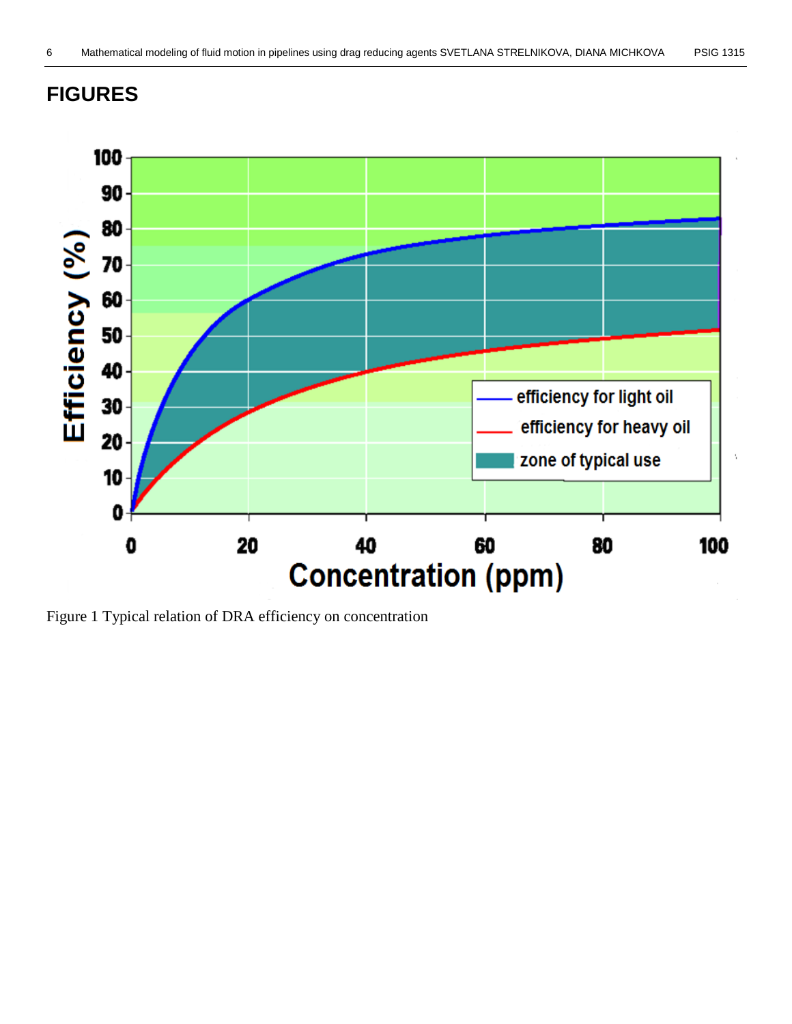## **FIGURES**



Figure 1 Typical relation of DRA efficiency on concentration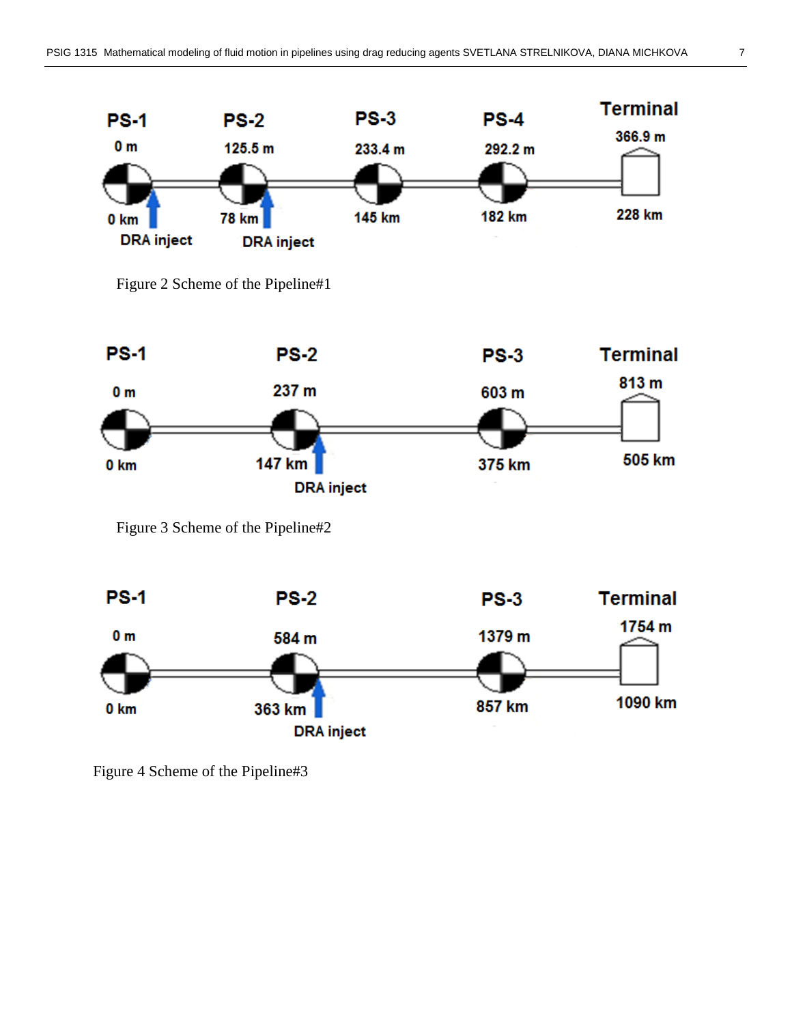

Figure 2 Scheme of the Pipeline#1



Figure 3 Scheme of the Pipeline#2



Figure 4 Scheme of the Pipeline#3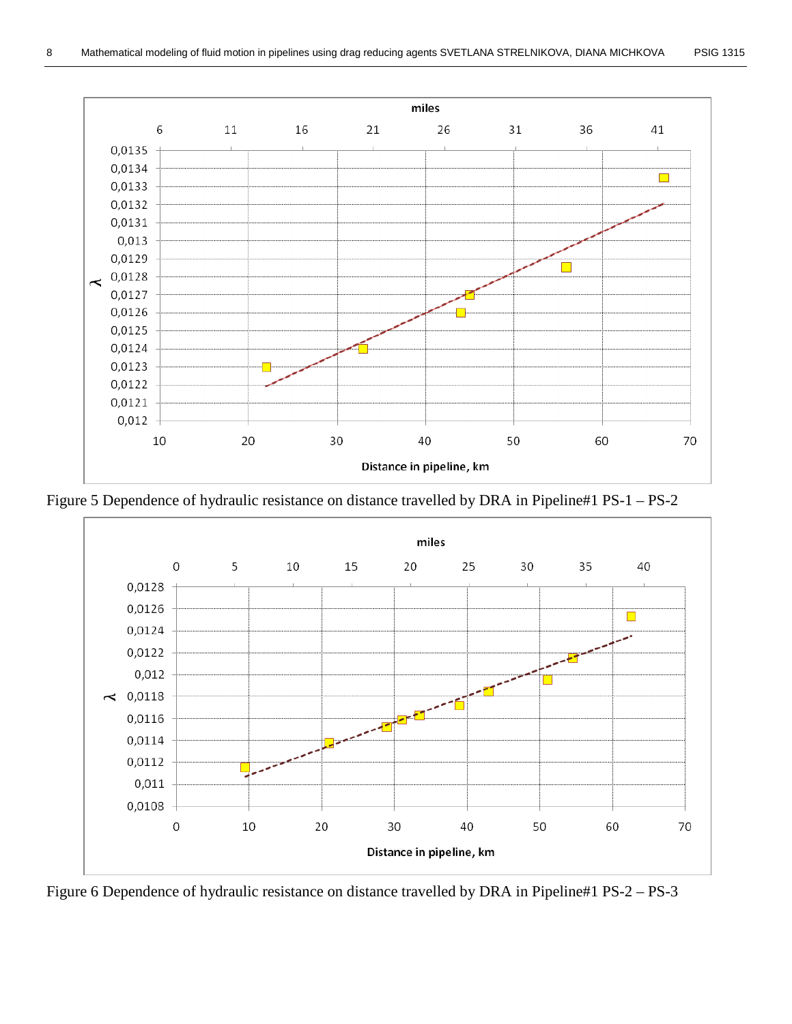

Figure 5 Dependence of hydraulic resistance on distance travelled by DRA in Pipeline#1 PS-1 – PS-2



Figure 6 Dependence of hydraulic resistance on distance travelled by DRA in Pipeline#1 PS-2 – PS-3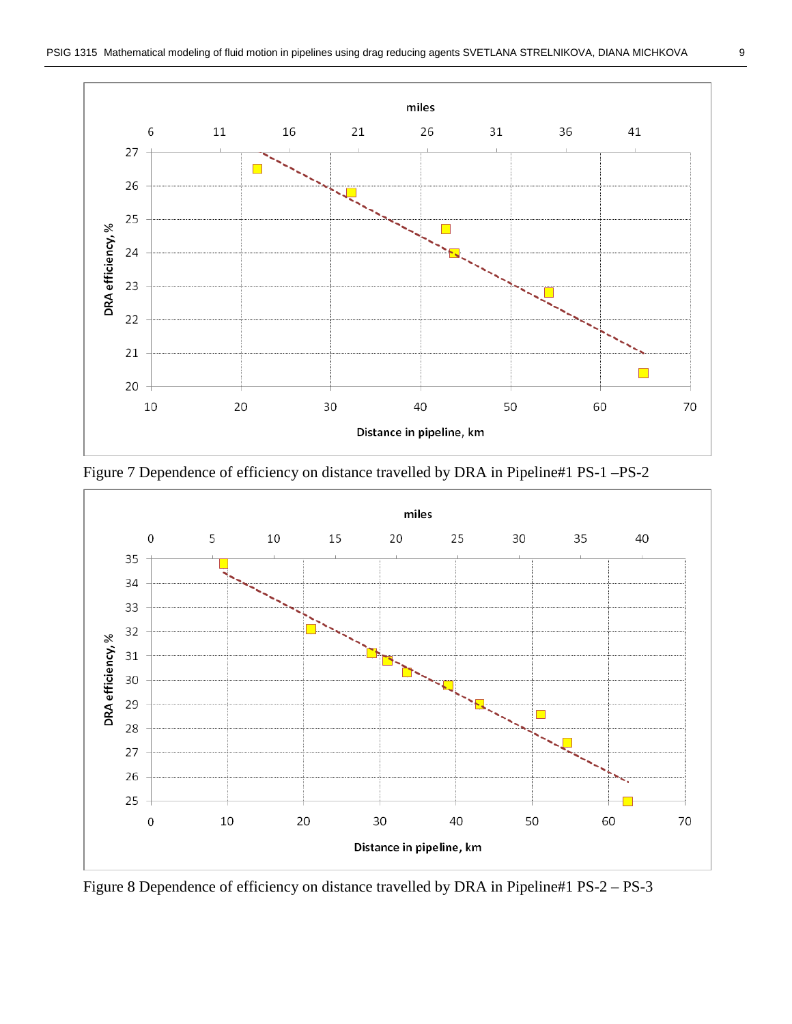

Figure 7 Dependence of efficiency on distance travelled by DRA in Pipeline#1 PS-1 –PS-2



Figure 8 Dependence of efficiency on distance travelled by DRA in Pipeline#1 PS-2 – PS-3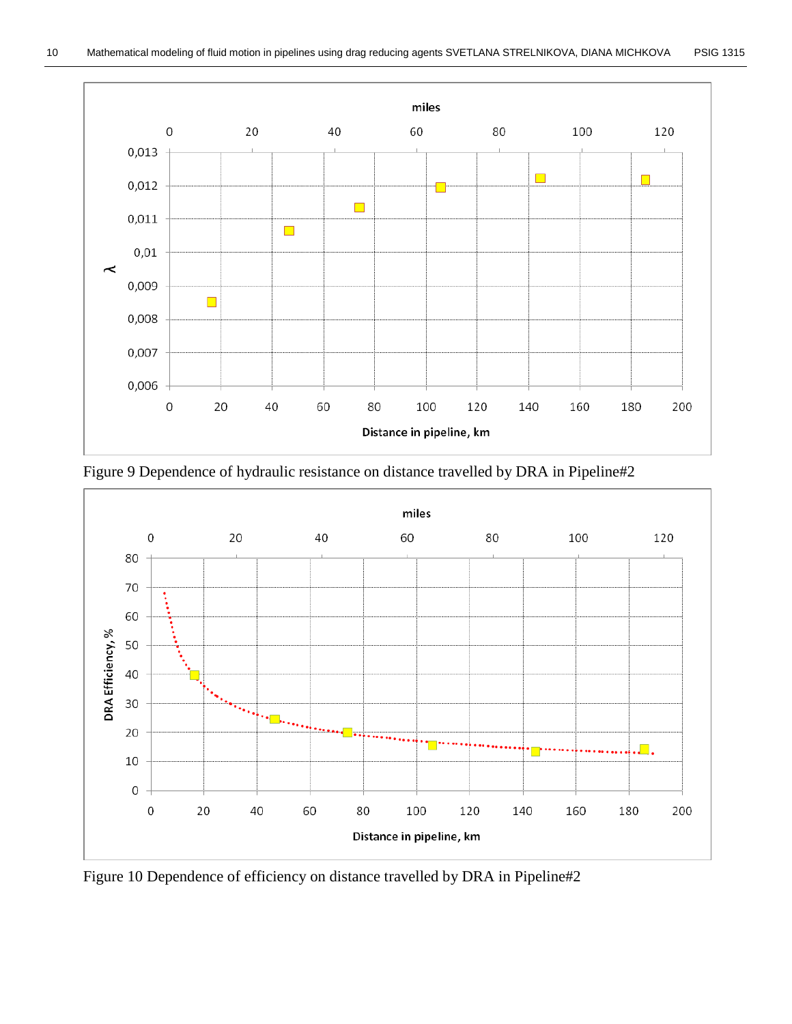



Figure 9 Dependence of hydraulic resistance on distance travelled by DRA in Pipeline#2

Figure 10 Dependence of efficiency on distance travelled by DRA in Pipeline#2